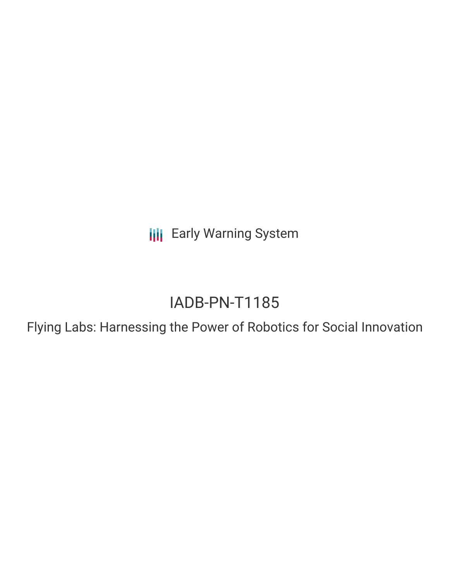**III** Early Warning System

# IADB-PN-T1185

Flying Labs: Harnessing the Power of Robotics for Social Innovation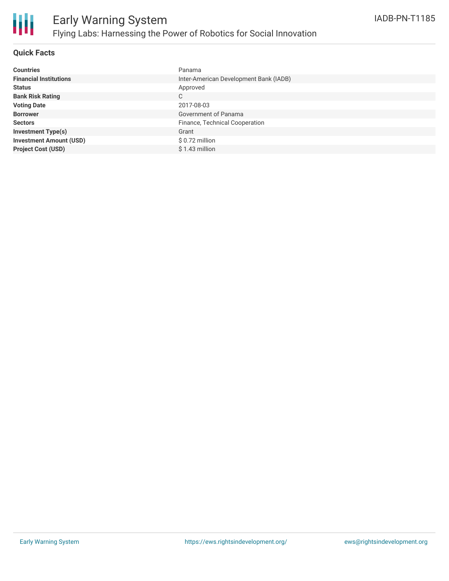

## **Quick Facts**

| <b>Countries</b>               | Panama                                 |
|--------------------------------|----------------------------------------|
| <b>Financial Institutions</b>  | Inter-American Development Bank (IADB) |
| <b>Status</b>                  | Approved                               |
| <b>Bank Risk Rating</b>        | C                                      |
| <b>Voting Date</b>             | 2017-08-03                             |
| <b>Borrower</b>                | Government of Panama                   |
| <b>Sectors</b>                 | Finance, Technical Cooperation         |
| <b>Investment Type(s)</b>      | Grant                                  |
| <b>Investment Amount (USD)</b> | $$0.72$ million                        |
| <b>Project Cost (USD)</b>      | $$1.43$ million                        |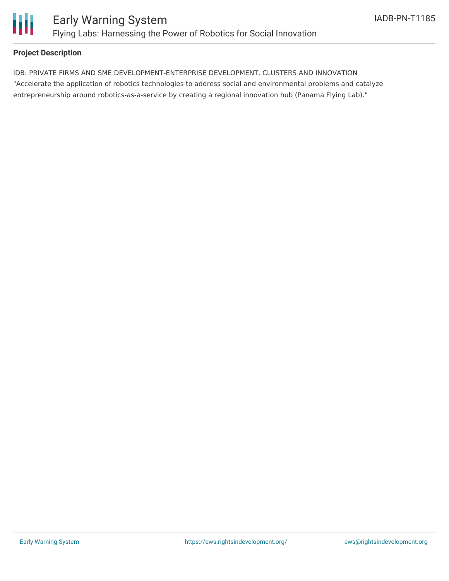

## **Project Description**

IDB: PRIVATE FIRMS AND SME DEVELOPMENT-ENTERPRISE DEVELOPMENT, CLUSTERS AND INNOVATION "Accelerate the application of robotics technologies to address social and environmental problems and catalyze entrepreneurship around robotics-as-a-service by creating a regional innovation hub (Panama Flying Lab)."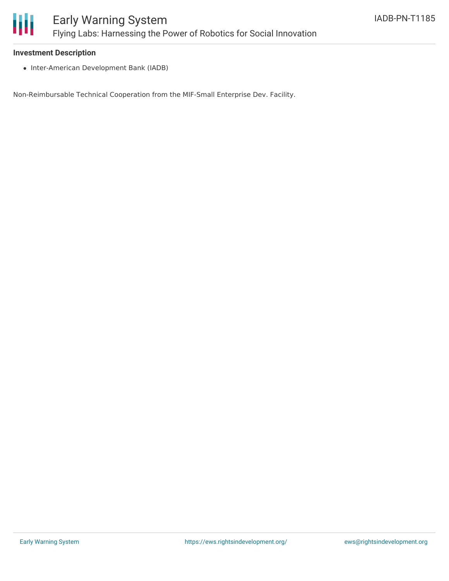

#### **Investment Description**

• Inter-American Development Bank (IADB)

Non-Reimbursable Technical Cooperation from the MIF-Small Enterprise Dev. Facility.